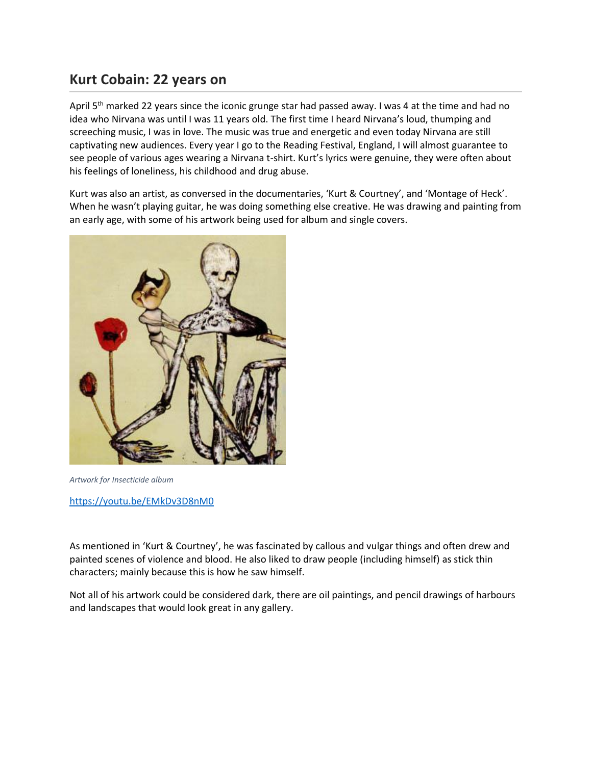## **Kurt Cobain: 22 years on**

April 5<sup>th</sup> marked 22 years since the iconic grunge star had passed away. I was 4 at the time and had no idea who Nirvana was until I was 11 years old. The first time I heard Nirvana's loud, thumping and screeching music, I was in love. The music was true and energetic and even today Nirvana are still captivating new audiences. Every year I go to the Reading Festival, England, I will almost guarantee to see people of various ages wearing a Nirvana t-shirt. Kurt's lyrics were genuine, they were often about his feelings of loneliness, his childhood and drug abuse.

Kurt was also an artist, as conversed in the documentaries, 'Kurt & Courtney', and 'Montage of Heck'. When he wasn't playing guitar, he was doing something else creative. He was drawing and painting from an early age, with some of his artwork being used for album and single covers.



*Artwork for Insecticide album*

<https://youtu.be/EMkDv3D8nM0>

As mentioned in 'Kurt & Courtney', he was fascinated by callous and vulgar things and often drew and painted scenes of violence and blood. He also liked to draw people (including himself) as stick thin characters; mainly because this is how he saw himself.

Not all of his artwork could be considered dark, there are oil paintings, and pencil drawings of harbours and landscapes that would look great in any gallery.